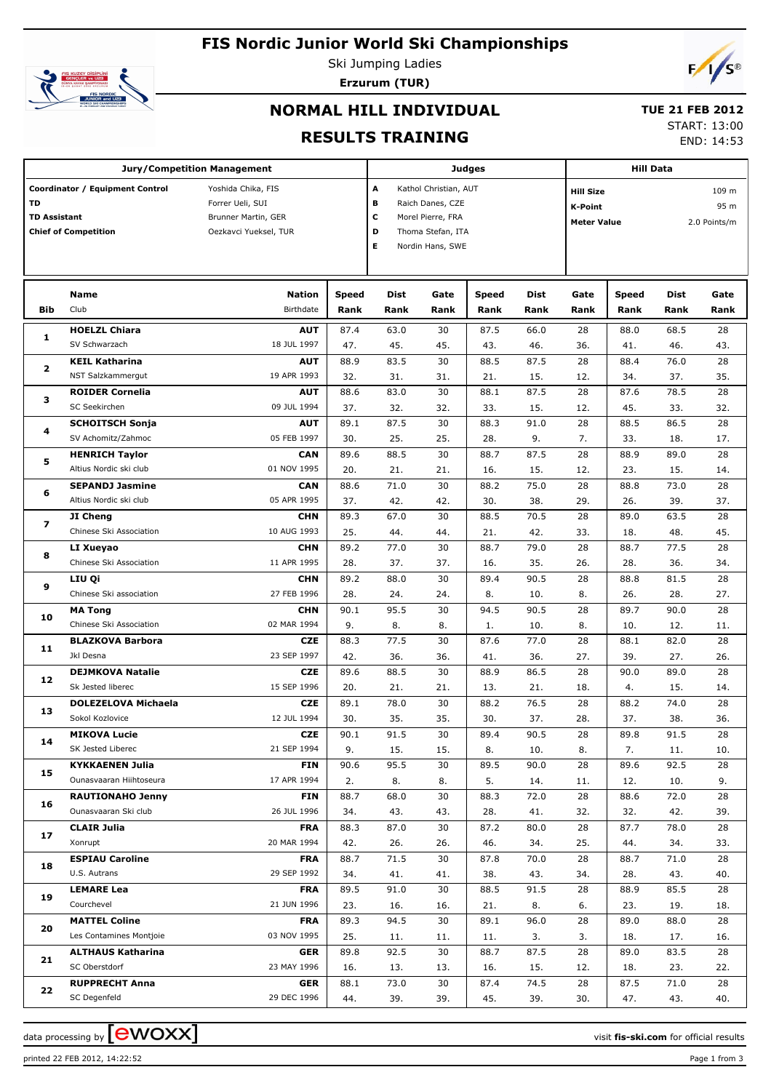# **FIS Nordic Junior World Ski Championships**



Ski Jumping Ladies **Erzurum (TUR)**



### **NORMAL HILL INDIVIDUAL**

# **TUE 21 FEB 2012**

**RESULTS TRAINING**

START: 13:00

END: 14:53

|                     |                                 |                                    |       |                   |                       |               |                | <b>Hill Data</b>                   |       |       |      |
|---------------------|---------------------------------|------------------------------------|-------|-------------------|-----------------------|---------------|----------------|------------------------------------|-------|-------|------|
|                     |                                 | <b>Jury/Competition Management</b> |       |                   |                       | <b>Judges</b> |                |                                    |       |       |      |
|                     | Coordinator / Equipment Control | Yoshida Chika, FIS                 |       | А                 | Kathol Christian, AUT |               |                | <b>Hill Size</b>                   |       | 109 m |      |
| TD                  |                                 | Forrer Ueli, SUI                   | в     | Raich Danes, CZE  |                       |               |                |                                    |       |       |      |
|                     |                                 |                                    |       |                   |                       |               | <b>K-Point</b> |                                    |       | 95 m  |      |
| <b>TD Assistant</b> |                                 | Brunner Martin, GER                | с     | Morel Pierre, FRA |                       |               |                | 2.0 Points/m<br><b>Meter Value</b> |       |       |      |
|                     | <b>Chief of Competition</b>     | Oezkavci Yueksel, TUR              |       | D                 | Thoma Stefan, ITA     |               |                |                                    |       |       |      |
|                     |                                 |                                    |       | E.                | Nordin Hans, SWE      |               |                |                                    |       |       |      |
|                     |                                 |                                    |       |                   |                       |               |                |                                    |       |       |      |
|                     |                                 |                                    |       |                   |                       |               |                |                                    |       |       |      |
|                     | <b>Name</b>                     | <b>Nation</b>                      | Speed | Dist              | Gate                  | <b>Speed</b>  | Dist           | Gate                               | Speed | Dist  | Gate |
|                     |                                 |                                    |       |                   |                       |               |                |                                    |       |       |      |
| <b>Bib</b>          | Club                            | Birthdate                          | Rank  | Rank              | Rank                  | Rank          | Rank           | Rank                               | Rank  | Rank  | Rank |
|                     | <b>HOELZL Chiara</b>            | <b>AUT</b>                         | 87.4  | 63.0              | 30                    | 87.5          | 66.0           | 28                                 | 88.0  | 68.5  | 28   |
| 1                   | SV Schwarzach                   | 18 JUL 1997                        | 47.   | 45.               | 45.                   | 43.           | 46.            | 36.                                | 41.   | 46.   | 43.  |
|                     | <b>KEIL Katharina</b>           | <b>AUT</b>                         | 88.9  | 83.5              | 30                    | 88.5          | 87.5           | 28                                 | 88.4  | 76.0  | 28   |
| 2                   |                                 |                                    |       |                   |                       |               |                |                                    |       |       |      |
|                     | NST Salzkammergut               | 19 APR 1993                        | 32.   | 31.               | 31.                   | 21.           | 15.            | 12.                                | 34.   | 37.   | 35.  |
| з                   | <b>ROIDER Cornelia</b>          | <b>AUT</b>                         | 88.6  | 83.0              | 30                    | 88.1          | 87.5           | 28                                 | 87.6  | 78.5  | 28   |
|                     | SC Seekirchen                   | 09 JUL 1994                        | 37.   | 32.               | 32.                   | 33.           | 15.            | 12.                                | 45.   | 33.   | 32.  |
|                     | <b>SCHOITSCH Sonja</b>          | <b>AUT</b>                         | 89.1  | 87.5              | 30                    | 88.3          | 91.0           | 28                                 | 88.5  | 86.5  | 28   |
| 4                   | SV Achomitz/Zahmoc              | 05 FEB 1997                        | 30.   | 25.               | 25.                   | 28.           | 9.             | 7.                                 | 33.   | 18.   | 17.  |
|                     | <b>HENRICH Taylor</b>           | <b>CAN</b>                         | 89.6  | 88.5              | 30                    | 88.7          | 87.5           | 28                                 | 88.9  | 89.0  | 28   |
| 5                   | Altius Nordic ski club          | 01 NOV 1995                        |       |                   |                       |               |                |                                    |       |       |      |
|                     |                                 |                                    | 20.   | 21.               | 21.                   | 16.           | 15.            | 12.                                | 23.   | 15.   | 14.  |
| 6                   | <b>SEPANDJ Jasmine</b>          | <b>CAN</b>                         | 88.6  | 71.0              | 30                    | 88.2          | 75.0           | 28                                 | 88.8  | 73.0  | 28   |
|                     | Altius Nordic ski club          | 05 APR 1995                        | 37.   | 42.               | 42.                   | 30.           | 38.            | 29.                                | 26.   | 39.   | 37.  |
|                     | JI Cheng                        | <b>CHN</b>                         | 89.3  | 67.0              | 30                    | 88.5          | 70.5           | 28                                 | 89.0  | 63.5  | 28   |
| 7<br>8              | Chinese Ski Association         | 10 AUG 1993                        | 25.   | 44.               | 44.                   | 21.           | 42.            | 33.                                | 18.   | 48.   | 45.  |
|                     | LI Xueyao                       | <b>CHN</b>                         | 89.2  | 77.0              | 30                    | 88.7          | 79.0           | 28                                 | 88.7  | 77.5  | 28   |
|                     | Chinese Ski Association         |                                    |       |                   |                       |               |                |                                    |       |       |      |
| 9                   |                                 | 11 APR 1995                        | 28.   | 37.               | 37.                   | 16.           | 35.            | 26.                                | 28.   | 36.   | 34.  |
|                     | LIU Qi                          | <b>CHN</b>                         | 89.2  | 88.0              | 30                    | 89.4          | 90.5           | 28                                 | 88.8  | 81.5  | 28   |
|                     | Chinese Ski association         | 27 FEB 1996                        | 28.   | 24.               | 24.                   | 8.            | 10.            | 8.                                 | 26.   | 28.   | 27.  |
| 10                  | <b>MA Tong</b>                  | <b>CHN</b>                         | 90.1  | 95.5              | 30                    | 94.5          | 90.5           | 28                                 | 89.7  | 90.0  | 28   |
|                     | Chinese Ski Association         | 02 MAR 1994                        | 9.    | 8.                | 8.                    | 1.            | 10.            | 8.                                 | 10.   | 12.   | 11.  |
|                     | <b>BLAZKOVA Barbora</b>         | <b>CZE</b>                         | 88.3  | 77.5              | 30                    | 87.6          | 77.0           | 28                                 | 88.1  | 82.0  | 28   |
| 11                  | Jkl Desna                       | 23 SEP 1997                        |       |                   |                       |               |                |                                    |       |       |      |
|                     |                                 |                                    | 42.   | 36.               | 36.                   | 41.           | 36.            | 27.                                | 39.   | 27.   | 26.  |
| 12                  | <b>DEJMKOVA Natalie</b>         | <b>CZE</b>                         | 89.6  | 88.5              | 30                    | 88.9          | 86.5           | 28                                 | 90.0  | 89.0  | 28   |
|                     | Sk Jested liberec               | 15 SEP 1996                        | 20.   | 21.               | 21.                   | 13.           | 21.            | 18.                                | 4.    | 15.   | 14.  |
|                     | <b>DOLEZELOVA Michaela</b>      | <b>CZE</b>                         | 89.1  | 78.0              | 30                    | 88.2          | 76.5           | 28                                 | 88.2  | 74.0  | 28   |
| 13                  | Sokol Kozlovice                 | 12 JUL 1994                        | 30.   | 35.               | 35.                   | 30.           | 37.            | 28.                                | 37.   | 38.   | 36.  |
|                     | MIKOVA Lucie                    | <b>CZE</b>                         | 90.1  | 91.5              | 30                    | 89.4          | 90.5           | 28                                 | 89.8  | 91.5  | 28   |
| 14                  | SK Jested Liberec               | 21 SEP 1994                        | 9.    | 15.               | 15.                   | 8.            | 10.            | 8.                                 | 7.    | 11.   | 10.  |
|                     |                                 |                                    |       |                   |                       |               |                |                                    |       |       |      |
| 15                  | <b>KYKKAENEN Julia</b>          | <b>FIN</b>                         | 90.6  | 95.5              | 30                    | 89.5          | 90.0           | 28                                 | 89.6  | 92.5  | 28   |
|                     | Ounasvaaran Hiihtoseura         | 17 APR 1994                        | 2.    | 8.                | 8.                    | 5.            | 14.            | 11.                                | 12.   | 10.   | 9.   |
|                     | <b>RAUTIONAHO Jenny</b>         | FIN                                | 88.7  | 68.0              | 30                    | 88.3          | 72.0           | 28                                 | 88.6  | 72.0  | 28   |
| 16                  | Ounasvaaran Ski club            | 26 JUL 1996                        | 34.   | 43.               | 43.                   | 28.           | 41.            | 32.                                | 32.   | 42.   | 39.  |
|                     | <b>CLAIR Julia</b>              | <b>FRA</b>                         | 88.3  | 87.0              | 30                    | 87.2          | 80.0           | 28                                 | 87.7  | 78.0  | 28   |
| 17                  | Xonrupt                         | 20 MAR 1994                        | 42.   | 26.               | 26.                   | 46.           | 34.            | 25.                                | 44.   | 34.   | 33.  |
|                     |                                 |                                    |       |                   |                       |               |                |                                    |       |       |      |
| 18                  | <b>ESPIAU Caroline</b>          | <b>FRA</b>                         | 88.7  | 71.5              | 30                    | 87.8          | 70.0           | 28                                 | 88.7  | 71.0  | 28   |
|                     | U.S. Autrans                    | 29 SEP 1992                        | 34.   | 41.               | 41.                   | 38.           | 43.            | 34.                                | 28.   | 43.   | 40.  |
|                     | <b>LEMARE Lea</b>               | <b>FRA</b>                         | 89.5  | 91.0              | 30                    | 88.5          | 91.5           | 28                                 | 88.9  | 85.5  | 28   |
| 19                  | Courchevel                      | 21 JUN 1996                        | 23.   | 16.               | 16.                   | 21.           | 8.             | 6.                                 | 23.   | 19.   | 18.  |
|                     | <b>MATTEL Coline</b>            | <b>FRA</b>                         | 89.3  | 94.5              | 30                    | 89.1          | 96.0           | 28                                 | 89.0  | 88.0  | 28   |
| 20                  | Les Contamines Montjoie         | 03 NOV 1995                        | 25.   |                   |                       |               |                |                                    | 18.   | 17.   |      |
|                     |                                 |                                    |       | 11.               | 11.                   | 11.           | 3.             | 3.                                 |       |       | 16.  |
| 21                  | <b>ALTHAUS Katharina</b>        | <b>GER</b>                         | 89.8  | 92.5              | 30                    | 88.7          | 87.5           | 28                                 | 89.0  | 83.5  | 28   |
|                     | SC Oberstdorf                   | 23 MAY 1996                        | 16.   | 13.               | 13.                   | 16.           | 15.            | 12.                                | 18.   | 23.   | 22.  |
|                     | <b>RUPPRECHT Anna</b>           | <b>GER</b>                         | 88.1  | 73.0              | 30                    | 87.4          | 74.5           | 28                                 | 87.5  | 71.0  | 28   |
| 22                  | SC Degenfeld                    | 29 DEC 1996                        | 44.   | 39.               | 39.                   | 45.           | 39.            | 30.                                | 47.   | 43.   | 40.  |

data processing by **CWOXX** and  $\overline{A}$  and  $\overline{B}$  wisit **fis-ski.com** for official results

printed 22 FEB 2012, 14:22:52 Page 1 from 3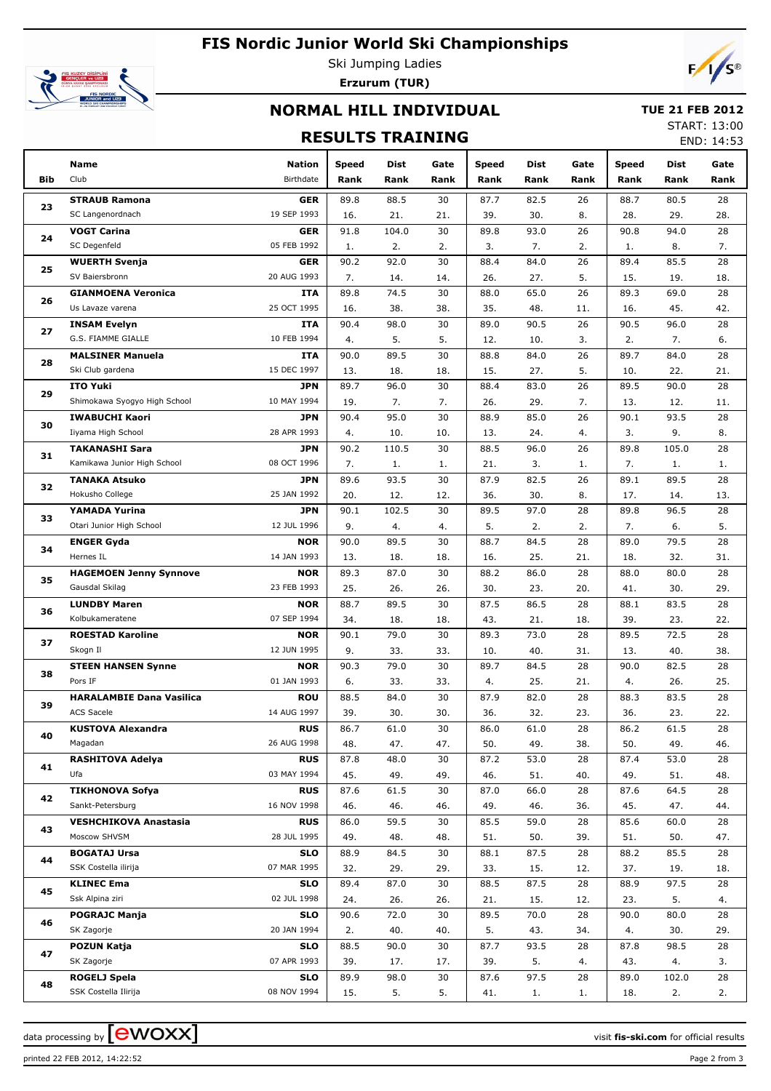# **FIS Nordic Junior World Ski Championships**



Ski Jumping Ladies **Erzurum (TUR)**



### **NORMAL HILL INDIVIDUAL**

#### **TUE 21 FEB 2012**

### **RESULTS TRAINING**

START: 13:00  $FND: 14:53$ 

|     |                                    |                           |              |             |           |              |            |          |             |             | <b>LIVD. 14.JJ</b> |
|-----|------------------------------------|---------------------------|--------------|-------------|-----------|--------------|------------|----------|-------------|-------------|--------------------|
|     | Name                               | <b>Nation</b>             | <b>Speed</b> | Dist        | Gate      | <b>Speed</b> | Dist       | Gate     | Speed       | Dist        | Gate               |
| Bib | Club                               | Birthdate                 | Rank         | Rank        | Rank      | Rank         | Rank       | Rank     | Rank        | Rank        | Rank               |
|     | <b>STRAUB Ramona</b>               | <b>GER</b>                | 89.8         | 88.5        | 30        | 87.7         | 82.5       | 26       | 88.7        | 80.5        | 28                 |
| 23  | SC Langenordnach                   | 19 SEP 1993               | 16.          | 21.         | 21.       | 39.          | 30.        | 8.       | 28.         | 29.         | 28.                |
|     | <b>VOGT Carina</b>                 | <b>GER</b>                | 91.8         | 104.0       | 30        | 89.8         | 93.0       | 26       | 90.8        | 94.0        | 28                 |
| 24  | SC Degenfeld                       | 05 FEB 1992               | 1.           | 2.          | 2.        | 3.           | 7.         | 2.       | 1.          | 8.          | 7.                 |
|     | <b>WUERTH Svenja</b>               | <b>GER</b>                | 90.2         | 92.0        | 30        | 88.4         | 84.0       | 26       | 89.4        | 85.5        | 28                 |
| 25  | SV Baiersbronn                     | 20 AUG 1993               | 7.           | 14.         | 14.       | 26.          | 27.        | 5.       | 15.         | 19.         | 18.                |
|     | <b>GIANMOENA Veronica</b>          | <b>ITA</b>                | 89.8         | 74.5        | 30        | 88.0         | 65.0       | 26       | 89.3        | 69.0        | 28                 |
| 26  | Us Lavaze varena                   | 25 OCT 1995               | 16.          | 38.         | 38.       | 35.          | 48.        | 11.      | 16.         | 45.         | 42.                |
| 27  | <b>INSAM Evelyn</b>                | <b>ITA</b>                | 90.4         | 98.0        | 30        | 89.0         | 90.5       | 26       | 90.5        | 96.0        | 28                 |
|     | G.S. FIAMME GIALLE                 | 10 FEB 1994               | 4.           | 5.          | 5.        | 12.          | 10.        | 3.       | 2.          | 7.          | 6.                 |
| 28  | <b>MALSINER Manuela</b>            | <b>ITA</b>                | 90.0         | 89.5        | 30        | 88.8         | 84.0       | 26       | 89.7        | 84.0        | 28                 |
|     | Ski Club gardena                   | 15 DEC 1997               | 13.          | 18.         | 18.       | 15.          | 27.        | 5.       | 10.         | 22.         | 21.                |
|     | <b>ITO Yuki</b>                    | <b>JPN</b>                | 89.7         | 96.0        | 30        | 88.4         | 83.0       | 26       | 89.5        | 90.0        | 28                 |
| 29  | Shimokawa Syogyo High School       | 10 MAY 1994               | 19.          | 7.          | 7.        | 26.          | 29.        | 7.       | 13.         | 12.         | 11.                |
| 30  | <b>IWABUCHI Kaori</b>              | <b>JPN</b>                | 90.4         | 95.0        | 30        | 88.9         | 85.0       | 26       | 90.1        | 93.5        | 28                 |
|     | Iiyama High School                 | 28 APR 1993               | 4.           | 10.         | 10.       | 13.          | 24.        | 4.       | 3.          | 9.          | 8.                 |
| 31  | <b>TAKANASHI Sara</b>              | <b>JPN</b>                | 90.2         | 110.5       | 30        | 88.5         | 96.0       | 26       | 89.8        | 105.0       | 28                 |
|     | Kamikawa Junior High School        | 08 OCT 1996               | 7.           | 1.          | 1.        | 21.          | 3.         | 1.       | 7.          | 1.          | 1.                 |
| 32  | <b>TANAKA Atsuko</b>               | <b>JPN</b>                | 89.6         | 93.5        | 30        | 87.9         | 82.5       | 26       | 89.1        | 89.5        | 28                 |
|     | Hokusho College                    | 25 JAN 1992               | 20.          | 12.         | 12.       | 36.          | 30.        | 8.       | 17.         | 14.         | 13.                |
| 33  | YAMADA Yurina                      | <b>JPN</b>                | 90.1         | 102.5       | 30        | 89.5         | 97.0       | 28       | 89.8        | 96.5        | 28                 |
|     | Otari Junior High School           | 12 JUL 1996               | 9.           | 4.          | 4.        | 5.           | 2.         | 2.       | 7.          | 6.          | 5.                 |
| 34  | <b>ENGER Gyda</b>                  | <b>NOR</b>                | 90.0         | 89.5        | 30        | 88.7         | 84.5       | 28       | 89.0        | 79.5        | 28                 |
|     | Hernes IL                          | 14 JAN 1993               | 13.          | 18.         | 18.       | 16.          | 25.        | 21.      | 18.         | 32.         | 31.                |
| 35  | <b>HAGEMOEN Jenny Synnove</b>      | <b>NOR</b>                | 89.3         | 87.0        | 30        | 88.2         | 86.0       | 28       | 88.0        | 80.0        | 28                 |
|     | Gausdal Skilag                     | 23 FEB 1993               | 25.          | 26.         | 26.       | 30.          | 23.        | 20.      | 41.         | 30.         | 29.                |
| 36  | <b>LUNDBY Maren</b>                | <b>NOR</b>                | 88.7         | 89.5        | 30        | 87.5         | 86.5       | 28       | 88.1        | 83.5        | 28                 |
|     | Kolbukameratene                    | 07 SEP 1994               | 34.          | 18.         | 18.       | 43.          | 21.        | 18.      | 39.         | 23.         | 22.                |
| 37  | <b>ROESTAD Karoline</b>            | <b>NOR</b>                | 90.1         | 79.0        | 30        | 89.3         | 73.0       | 28       | 89.5        | 72.5        | 28                 |
|     | Skogn Il                           | 12 JUN 1995               | 9.           | 33.         | 33.       | 10.          | 40.        | 31.      | 13.         | 40.         | 38.                |
| 38  | <b>STEEN HANSEN Synne</b>          | <b>NOR</b>                | 90.3         | 79.0        | 30        | 89.7         | 84.5       | 28       | 90.0        | 82.5        | 28                 |
|     | Pors IF                            | 01 JAN 1993               | 6.           | 33.         | 33.       | 4.           | 25.        | 21.      | 4.          | 26.         | 25.                |
| 39  | <b>HARALAMBIE Dana Vasilica</b>    | <b>ROU</b>                | 88.5         | 84.0        | 30        | 87.9         | 82.0       | 28       | 88.3        | 83.5        | 28                 |
|     | <b>ACS Sacele</b>                  | 14 AUG 1997               | 39.          | 30.         | 30.       | 36.          | 32.        | 23.      | 36.         | 23.         | 22.                |
| 40  | <b>KUSTOVA Alexandra</b>           | <b>RUS</b>                | 86.7         | 61.0        | 30        | 86.0         | 61.0       | 28       | 86.2        | 61.5        | 28                 |
|     | Magadan                            | 26 AUG 1998               | 48.          | 47.         | 47.       | 50.          | 49.        | 38.      | 50.         | 49.         | 46.                |
| 41  | <b>RASHITOVA Adelya</b>            | <b>RUS</b>                | 87.8         | 48.0        | 30        | 87.2         | 53.0       | 28       | 87.4        | 53.0        | 28                 |
|     | Ufa                                | 03 MAY 1994               | 45.          | 49.         | 49.       | 46.          | 51.        | 40.      | 49.         | 51.         | 48.                |
| 42  | <b>TIKHONOVA Sofya</b>             | <b>RUS</b>                | 87.6         | 61.5        | 30        | 87.0         | 66.0       | 28       | 87.6        | 64.5        | 28                 |
|     | Sankt-Petersburg                   | 16 NOV 1998               | 46.          | 46.         | 46.       | 49.          | 46.        | 36.      | 45.         | 47.         | 44.                |
| 43  | <b>VESHCHIKOVA Anastasia</b>       | <b>RUS</b>                | 86.0         | 59.5        | 30        | 85.5         | 59.0       | 28       | 85.6        | 60.0        | 28                 |
|     | Moscow SHVSM                       | 28 JUL 1995               | 49.          | 48.         | 48.       | 51.          | 50.        | 39.      | 51.         | 50.         | 47.                |
| 44  | <b>BOGATAJ Ursa</b>                | <b>SLO</b>                | 88.9         | 84.5        | 30        | 88.1         | 87.5       | 28       | 88.2        | 85.5        | 28                 |
|     | SSK Costella ilirija               | 07 MAR 1995               | 32.          | 29.         | 29.       | 33.          | 15.        | 12.      | 37.         | 19.         | 18.                |
| 45  | <b>KLINEC Ema</b>                  | <b>SLO</b>                | 89.4         | 87.0        | 30        | 88.5         | 87.5       | 28       | 88.9        | 97.5        | 28                 |
|     | Ssk Alpina ziri                    | 02 JUL 1998               | 24.          | 26.         | 26.       | 21.          | 15.        | 12.      | 23.         | 5.          | 4.                 |
| 46  | <b>POGRAJC Manja</b><br>SK Zagorje | <b>SLO</b><br>20 JAN 1994 | 90.6         | 72.0        | 30        | 89.5         | 70.0       | 28       | 90.0        | 80.0        | 28                 |
|     | <b>POZUN Katja</b>                 |                           | 2.           | 40.         | 40.       | 5.           | 43.        | 34.      | 4.          | 30.         | 29.                |
| 47  | SK Zagorje                         | <b>SLO</b><br>07 APR 1993 | 88.5         | 90.0        | 30        | 87.7         | 93.5<br>5. | 28       | 87.8        | 98.5        | 28                 |
|     | <b>ROGELJ Spela</b>                | <b>SLO</b>                | 39.<br>89.9  | 17.<br>98.0 | 17.<br>30 | 39.<br>87.6  | 97.5       | 4.<br>28 | 43.<br>89.0 | 4.<br>102.0 | 3.                 |
| 48  | SSK Costella Ilirija               | 08 NOV 1994               | 15.          | 5.          | 5.        | 41.          | 1.         | 1.       | 18.         | 2.          | 28<br>2.           |
|     |                                    |                           |              |             |           |              |            |          |             |             |                    |

data processing by **CWOXX** and  $\overline{C}$  and  $\overline{C}$  and  $\overline{C}$  and  $\overline{C}$  and  $\overline{C}$  and  $\overline{C}$  and  $\overline{C}$  and  $\overline{C}$  and  $\overline{C}$  and  $\overline{C}$  and  $\overline{C}$  and  $\overline{C}$  and  $\overline{C}$  and  $\overline{C}$  and  $\overline{C}$